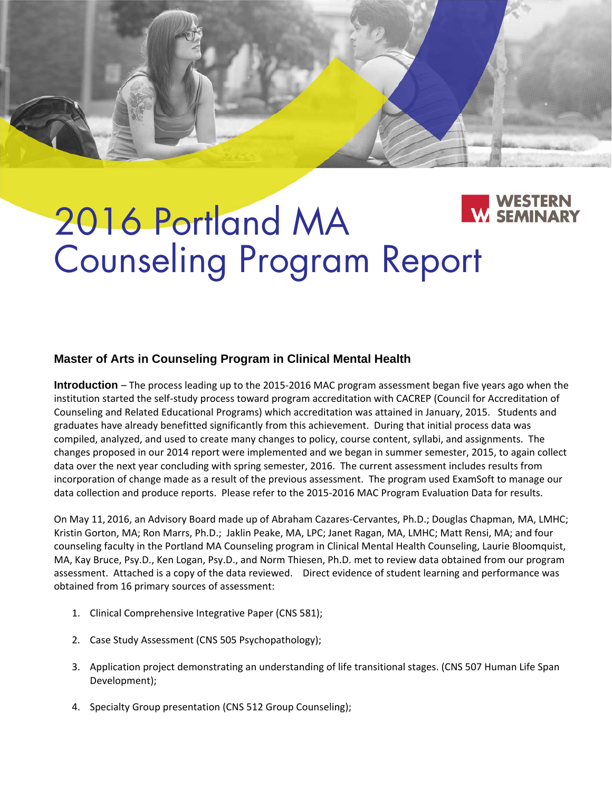# 2016 Portland MA Counseling Program Report

# **Master of Arts in Counseling Program in Clinical Mental Health**

**Introduction** – The process leading up to the 2015‐2016 MAC program assessment began five years ago when the institution started the self‐study process toward program accreditation with CACREP (Council for Accreditation of Counseling and Related Educational Programs) which accreditation was attained in January, 2015. Students and graduates have already benefitted significantly from this achievement. During that initial process data was compiled, analyzed, and used to create many changes to policy, course content, syllabi, and assignments. The changes proposed in our 2014 report were implemented and we began in summer semester, 2015, to again collect data over the next year concluding with spring semester, 2016. The current assessment includes results from incorporation of change made as a result of the previous assessment. The program used ExamSoft to manage our data collection and produce reports. Please refer to the 2015‐2016 MAC Program Evaluation Data for results.

On May 11, 2016, an Advisory Board made up of Abraham Cazares‐Cervantes, Ph.D.; Douglas Chapman, MA, LMHC; Kristin Gorton, MA; Ron Marrs, Ph.D.; Jaklin Peake, MA, LPC; Janet Ragan, MA, LMHC; Matt Rensi, MA; and four counseling faculty in the Portland MA Counseling program in Clinical Mental Health Counseling, Laurie Bloomquist, MA, Kay Bruce, Psy.D., Ken Logan, Psy.D., and Norm Thiesen, Ph.D. met to review data obtained from our program assessment. Attached is a copy of the data reviewed. Direct evidence of student learning and performance was obtained from 16 primary sources of assessment:

- 1. Clinical Comprehensive Integrative Paper (CNS 581);
- 2. Case Study Assessment (CNS 505 Psychopathology);
- 3. Application project demonstrating an understanding of life transitional stages. (CNS 507 Human Life Span Development);
- 4. Specialty Group presentation (CNS 512 Group Counseling);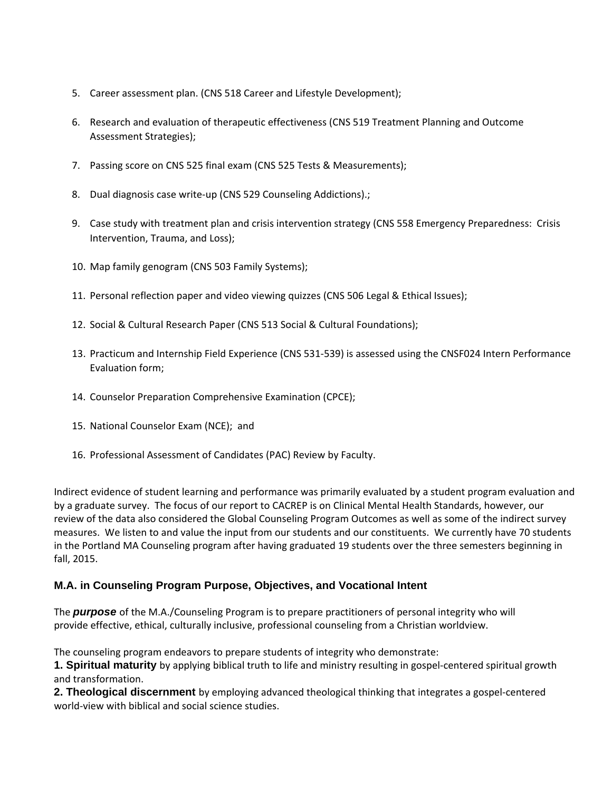- 5. Career assessment plan. (CNS 518 Career and Lifestyle Development);
- 6. Research and evaluation of therapeutic effectiveness (CNS 519 Treatment Planning and Outcome Assessment Strategies);
- 7. Passing score on CNS 525 final exam (CNS 525 Tests & Measurements);
- 8. Dual diagnosis case write-up (CNS 529 Counseling Addictions).;
- 9. Case study with treatment plan and crisis intervention strategy (CNS 558 Emergency Preparedness: Crisis Intervention, Trauma, and Loss);
- 10. Map family genogram (CNS 503 Family Systems);
- 11. Personal reflection paper and video viewing quizzes (CNS 506 Legal & Ethical Issues);
- 12. Social & Cultural Research Paper (CNS 513 Social & Cultural Foundations);
- 13. Practicum and Internship Field Experience (CNS 531‐539) is assessed using the CNSF024 Intern Performance Evaluation form;
- 14. Counselor Preparation Comprehensive Examination (CPCE);
- 15. National Counselor Exam (NCE); and
- 16. Professional Assessment of Candidates (PAC) Review by Faculty.

Indirect evidence of student learning and performance was primarily evaluated by a student program evaluation and by a graduate survey. The focus of our report to CACREP is on Clinical Mental Health Standards, however, our review of the data also considered the Global Counseling Program Outcomes as well as some of the indirect survey measures. We listen to and value the input from our students and our constituents. We currently have 70 students in the Portland MA Counseling program after having graduated 19 students over the three semesters beginning in fall, 2015.

#### **M.A. in Counseling Program Purpose, Objectives, and Vocational Intent**

The *purpose* of the M.A./Counseling Program is to prepare practitioners of personal integrity who will provide effective, ethical, culturally inclusive, professional counseling from a Christian worldview.

The counseling program endeavors to prepare students of integrity who demonstrate:

**1. Spiritual maturity** by applying biblical truth to life and ministry resulting in gospel‐centered spiritual growth and transformation.

**2. Theological discernment** by employing advanced theological thinking that integrates a gospel‐centered world‐view with biblical and social science studies.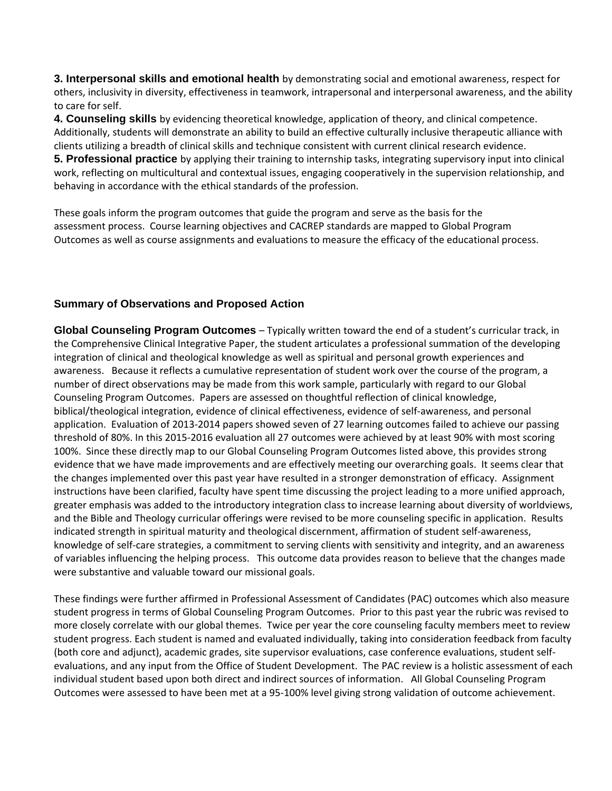**3. Interpersonal skills and emotional health** by demonstrating social and emotional awareness, respect for others, inclusivity in diversity, effectiveness in teamwork, intrapersonal and interpersonal awareness, and the ability to care for self.

**4. Counseling skills** by evidencing theoretical knowledge, application of theory, and clinical competence. Additionally, students will demonstrate an ability to build an effective culturally inclusive therapeutic alliance with clients utilizing a breadth of clinical skills and technique consistent with current clinical research evidence. **5. Professional practice** by applying their training to internship tasks, integrating supervisory input into clinical work, reflecting on multicultural and contextual issues, engaging cooperatively in the supervision relationship, and behaving in accordance with the ethical standards of the profession.

These goals inform the program outcomes that guide the program and serve as the basis for the assessment process. Course learning objectives and CACREP standards are mapped to Global Program Outcomes as well as course assignments and evaluations to measure the efficacy of the educational process.

#### **Summary of Observations and Proposed Action**

**Global Counseling Program Outcomes** – Typically written toward the end of a student's curricular track, in the Comprehensive Clinical Integrative Paper, the student articulates a professional summation of the developing integration of clinical and theological knowledge as well as spiritual and personal growth experiences and awareness. Because it reflects a cumulative representation of student work over the course of the program, a number of direct observations may be made from this work sample, particularly with regard to our Global Counseling Program Outcomes. Papers are assessed on thoughtful reflection of clinical knowledge, biblical/theological integration, evidence of clinical effectiveness, evidence of self‐awareness, and personal application. Evaluation of 2013‐2014 papers showed seven of 27 learning outcomes failed to achieve our passing threshold of 80%. In this 2015‐2016 evaluation all 27 outcomes were achieved by at least 90% with most scoring 100%. Since these directly map to our Global Counseling Program Outcomes listed above, this provides strong evidence that we have made improvements and are effectively meeting our overarching goals. It seems clear that the changes implemented over this past year have resulted in a stronger demonstration of efficacy. Assignment instructions have been clarified, faculty have spent time discussing the project leading to a more unified approach, greater emphasis was added to the introductory integration class to increase learning about diversity of worldviews, and the Bible and Theology curricular offerings were revised to be more counseling specific in application. Results indicated strength in spiritual maturity and theological discernment, affirmation of student self‐awareness, knowledge of self‐care strategies, a commitment to serving clients with sensitivity and integrity, and an awareness of variables influencing the helping process. This outcome data provides reason to believe that the changes made were substantive and valuable toward our missional goals.

These findings were further affirmed in Professional Assessment of Candidates (PAC) outcomes which also measure student progress in terms of Global Counseling Program Outcomes. Prior to this past year the rubric was revised to more closely correlate with our global themes. Twice per year the core counseling faculty members meet to review student progress. Each student is named and evaluated individually, taking into consideration feedback from faculty (both core and adjunct), academic grades, site supervisor evaluations, case conference evaluations, student self‐ evaluations, and any input from the Office of Student Development. The PAC review is a holistic assessment of each individual student based upon both direct and indirect sources of information. All Global Counseling Program Outcomes were assessed to have been met at a 95‐100% level giving strong validation of outcome achievement.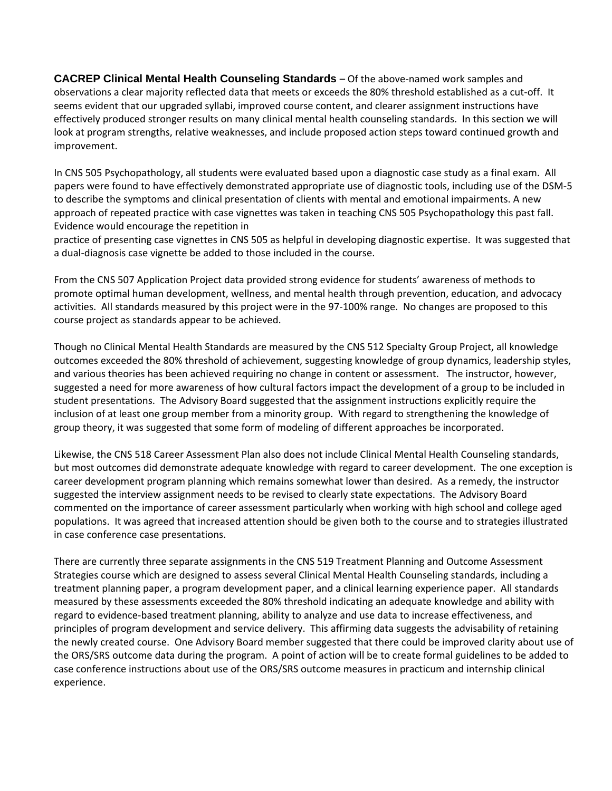**CACREP Clinical Mental Health Counseling Standards** – Of the above‐named work samples and observations a clear majority reflected data that meets or exceeds the 80% threshold established as a cut‐off. It seems evident that our upgraded syllabi, improved course content, and clearer assignment instructions have effectively produced stronger results on many clinical mental health counseling standards. In this section we will look at program strengths, relative weaknesses, and include proposed action steps toward continued growth and improvement.

In CNS 505 Psychopathology, all students were evaluated based upon a diagnostic case study as a final exam. All papers were found to have effectively demonstrated appropriate use of diagnostic tools, including use of the DSM‐5 to describe the symptoms and clinical presentation of clients with mental and emotional impairments. A new approach of repeated practice with case vignettes was taken in teaching CNS 505 Psychopathology this past fall. Evidence would encourage the repetition in

practice of presenting case vignettes in CNS 505 as helpful in developing diagnostic expertise. It was suggested that a dual-diagnosis case vignette be added to those included in the course.

From the CNS 507 Application Project data provided strong evidence for students' awareness of methods to promote optimal human development, wellness, and mental health through prevention, education, and advocacy activities. All standards measured by this project were in the 97-100% range. No changes are proposed to this course project as standards appear to be achieved.

Though no Clinical Mental Health Standards are measured by the CNS 512 Specialty Group Project, all knowledge outcomes exceeded the 80% threshold of achievement, suggesting knowledge of group dynamics, leadership styles, and various theories has been achieved requiring no change in content or assessment. The instructor, however, suggested a need for more awareness of how cultural factors impact the development of a group to be included in student presentations. The Advisory Board suggested that the assignment instructions explicitly require the inclusion of at least one group member from a minority group. With regard to strengthening the knowledge of group theory, it was suggested that some form of modeling of different approaches be incorporated.

Likewise, the CNS 518 Career Assessment Plan also does not include Clinical Mental Health Counseling standards, but most outcomes did demonstrate adequate knowledge with regard to career development. The one exception is career development program planning which remains somewhat lower than desired. As a remedy, the instructor suggested the interview assignment needs to be revised to clearly state expectations. The Advisory Board commented on the importance of career assessment particularly when working with high school and college aged populations. It was agreed that increased attention should be given both to the course and to strategies illustrated in case conference case presentations.

There are currently three separate assignments in the CNS 519 Treatment Planning and Outcome Assessment Strategies course which are designed to assess several Clinical Mental Health Counseling standards, including a treatment planning paper, a program development paper, and a clinical learning experience paper. All standards measured by these assessments exceeded the 80% threshold indicating an adequate knowledge and ability with regard to evidence‐based treatment planning, ability to analyze and use data to increase effectiveness, and principles of program development and service delivery. This affirming data suggests the advisability of retaining the newly created course. One Advisory Board member suggested that there could be improved clarity about use of the ORS/SRS outcome data during the program. A point of action will be to create formal guidelines to be added to case conference instructions about use of the ORS/SRS outcome measures in practicum and internship clinical experience.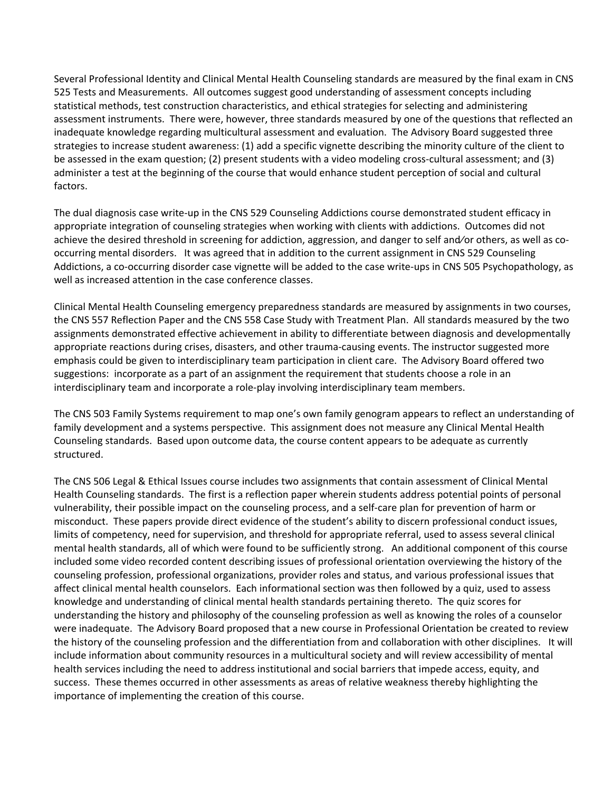Several Professional Identity and Clinical Mental Health Counseling standards are measured by the final exam in CNS 525 Tests and Measurements. All outcomes suggest good understanding of assessment concepts including statistical methods, test construction characteristics, and ethical strategies for selecting and administering assessment instruments. There were, however, three standards measured by one of the questions that reflected an inadequate knowledge regarding multicultural assessment and evaluation. The Advisory Board suggested three strategies to increase student awareness: (1) add a specific vignette describing the minority culture of the client to be assessed in the exam question; (2) present students with a video modeling cross-cultural assessment; and (3) administer a test at the beginning of the course that would enhance student perception of social and cultural factors.

The dual diagnosis case write‐up in the CNS 529 Counseling Addictions course demonstrated student efficacy in appropriate integration of counseling strategies when working with clients with addictions. Outcomes did not achieve the desired threshold in screening for addiction, aggression, and danger to self and⁄or others, as well as co‐ occurring mental disorders. It was agreed that in addition to the current assignment in CNS 529 Counseling Addictions, a co-occurring disorder case vignette will be added to the case write-ups in CNS 505 Psychopathology, as well as increased attention in the case conference classes.

Clinical Mental Health Counseling emergency preparedness standards are measured by assignments in two courses, the CNS 557 Reflection Paper and the CNS 558 Case Study with Treatment Plan. All standards measured by the two assignments demonstrated effective achievement in ability to differentiate between diagnosis and developmentally appropriate reactions during crises, disasters, and other trauma‐causing events. The instructor suggested more emphasis could be given to interdisciplinary team participation in client care. The Advisory Board offered two suggestions: incorporate as a part of an assignment the requirement that students choose a role in an interdisciplinary team and incorporate a role‐play involving interdisciplinary team members.

The CNS 503 Family Systems requirement to map one's own family genogram appears to reflect an understanding of family development and a systems perspective. This assignment does not measure any Clinical Mental Health Counseling standards. Based upon outcome data, the course content appears to be adequate as currently structured.

The CNS 506 Legal & Ethical Issues course includes two assignments that contain assessment of Clinical Mental Health Counseling standards. The first is a reflection paper wherein students address potential points of personal vulnerability, their possible impact on the counseling process, and a self‐care plan for prevention of harm or misconduct. These papers provide direct evidence of the student's ability to discern professional conduct issues, limits of competency, need for supervision, and threshold for appropriate referral, used to assess several clinical mental health standards, all of which were found to be sufficiently strong. An additional component of this course included some video recorded content describing issues of professional orientation overviewing the history of the counseling profession, professional organizations, provider roles and status, and various professional issues that affect clinical mental health counselors. Each informational section was then followed by a quiz, used to assess knowledge and understanding of clinical mental health standards pertaining thereto. The quiz scores for understanding the history and philosophy of the counseling profession as well as knowing the roles of a counselor were inadequate. The Advisory Board proposed that a new course in Professional Orientation be created to review the history of the counseling profession and the differentiation from and collaboration with other disciplines. It will include information about community resources in a multicultural society and will review accessibility of mental health services including the need to address institutional and social barriers that impede access, equity, and success. These themes occurred in other assessments as areas of relative weakness thereby highlighting the importance of implementing the creation of this course.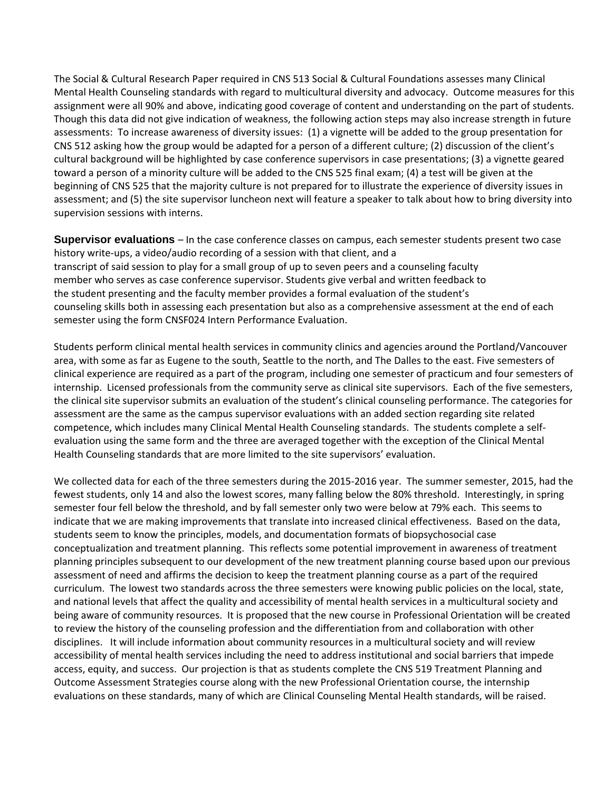The Social & Cultural Research Paper required in CNS 513 Social & Cultural Foundations assesses many Clinical Mental Health Counseling standards with regard to multicultural diversity and advocacy. Outcome measures for this assignment were all 90% and above, indicating good coverage of content and understanding on the part of students. Though this data did not give indication of weakness, the following action steps may also increase strength in future assessments: To increase awareness of diversity issues: (1) a vignette will be added to the group presentation for CNS 512 asking how the group would be adapted for a person of a different culture; (2) discussion of the client's cultural background will be highlighted by case conference supervisors in case presentations; (3) a vignette geared toward a person of a minority culture will be added to the CNS 525 final exam; (4) a test will be given at the beginning of CNS 525 that the majority culture is not prepared for to illustrate the experience of diversity issues in assessment; and (5) the site supervisor luncheon next will feature a speaker to talk about how to bring diversity into supervision sessions with interns.

**Supervisor evaluations** – In the case conference classes on campus, each semester students present two case history write-ups, a video/audio recording of a session with that client, and a transcript of said session to play for a small group of up to seven peers and a counseling faculty member who serves as case conference supervisor. Students give verbal and written feedback to the student presenting and the faculty member provides a formal evaluation of the student's counseling skills both in assessing each presentation but also as a comprehensive assessment at the end of each semester using the form CNSF024 Intern Performance Evaluation.

Students perform clinical mental health services in community clinics and agencies around the Portland/Vancouver area, with some as far as Eugene to the south, Seattle to the north, and The Dalles to the east. Five semesters of clinical experience are required as a part of the program, including one semester of practicum and four semesters of internship. Licensed professionals from the community serve as clinical site supervisors. Each of the five semesters, the clinical site supervisor submits an evaluation of the student's clinical counseling performance. The categories for assessment are the same as the campus supervisor evaluations with an added section regarding site related competence, which includes many Clinical Mental Health Counseling standards. The students complete a self‐ evaluation using the same form and the three are averaged together with the exception of the Clinical Mental Health Counseling standards that are more limited to the site supervisors' evaluation.

We collected data for each of the three semesters during the 2015-2016 year. The summer semester, 2015, had the fewest students, only 14 and also the lowest scores, many falling below the 80% threshold. Interestingly, in spring semester four fell below the threshold, and by fall semester only two were below at 79% each. This seems to indicate that we are making improvements that translate into increased clinical effectiveness. Based on the data, students seem to know the principles, models, and documentation formats of biopsychosocial case conceptualization and treatment planning. This reflects some potential improvement in awareness of treatment planning principles subsequent to our development of the new treatment planning course based upon our previous assessment of need and affirms the decision to keep the treatment planning course as a part of the required curriculum. The lowest two standards across the three semesters were knowing public policies on the local, state, and national levels that affect the quality and accessibility of mental health services in a multicultural society and being aware of community resources. It is proposed that the new course in Professional Orientation will be created to review the history of the counseling profession and the differentiation from and collaboration with other disciplines. It will include information about community resources in a multicultural society and will review accessibility of mental health services including the need to address institutional and social barriers that impede access, equity, and success. Our projection is that as students complete the CNS 519 Treatment Planning and Outcome Assessment Strategies course along with the new Professional Orientation course, the internship evaluations on these standards, many of which are Clinical Counseling Mental Health standards, will be raised.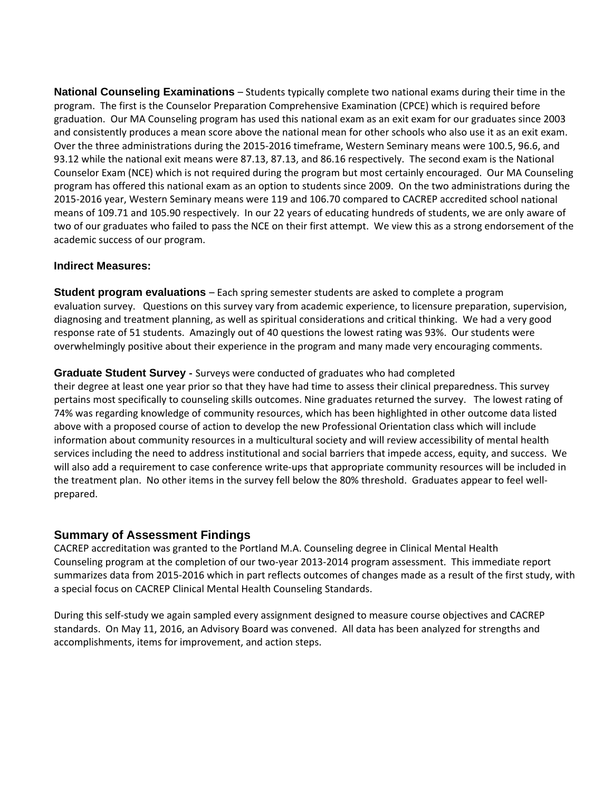**National Counseling Examinations** – Students typically complete two national exams during their time in the program. The first is the Counselor Preparation Comprehensive Examination (CPCE) which is required before graduation. Our MA Counseling program has used this national exam as an exit exam for our graduates since 2003 and consistently produces a mean score above the national mean for other schools who also use it as an exit exam. Over the three administrations during the 2015‐2016 timeframe, Western Seminary means were 100.5, 96.6, and 93.12 while the national exit means were 87.13, 87.13, and 86.16 respectively. The second exam is the National Counselor Exam (NCE) which is not required during the program but most certainly encouraged. Our MA Counseling program has offered this national exam as an option to students since 2009. On the two administrations during the 2015‐2016 year, Western Seminary means were 119 and 106.70 compared to CACREP accredited school national means of 109.71 and 105.90 respectively. In our 22 years of educating hundreds of students, we are only aware of two of our graduates who failed to pass the NCE on their first attempt. We view this as a strong endorsement of the academic success of our program.

#### **Indirect Measures:**

**Student program evaluations** – Each spring semester students are asked to complete a program evaluation survey. Questions on this survey vary from academic experience, to licensure preparation, supervision, diagnosing and treatment planning, as well as spiritual considerations and critical thinking. We had a very good response rate of 51 students. Amazingly out of 40 questions the lowest rating was 93%. Our students were overwhelmingly positive about their experience in the program and many made very encouraging comments.

#### **Graduate Student Survey** ‐ Surveys were conducted of graduates who had completed

their degree at least one year prior so that they have had time to assess their clinical preparedness. This survey pertains most specifically to counseling skills outcomes. Nine graduates returned the survey. The lowest rating of 74% was regarding knowledge of community resources, which has been highlighted in other outcome data listed above with a proposed course of action to develop the new Professional Orientation class which will include information about community resources in a multicultural society and will review accessibility of mental health services including the need to address institutional and social barriers that impede access, equity, and success. We will also add a requirement to case conference write-ups that appropriate community resources will be included in the treatment plan. No other items in the survey fell below the 80% threshold. Graduates appear to feel wellprepared.

### **Summary of Assessment Findings**

CACREP accreditation was granted to the Portland M.A. Counseling degree in Clinical Mental Health Counseling program at the completion of our two‐year 2013‐2014 program assessment. This immediate report summarizes data from 2015‐2016 which in part reflects outcomes of changes made as a result of the first study, with a special focus on CACREP Clinical Mental Health Counseling Standards.

During this self‐study we again sampled every assignment designed to measure course objectives and CACREP standards. On May 11, 2016, an Advisory Board was convened. All data has been analyzed for strengths and accomplishments, items for improvement, and action steps.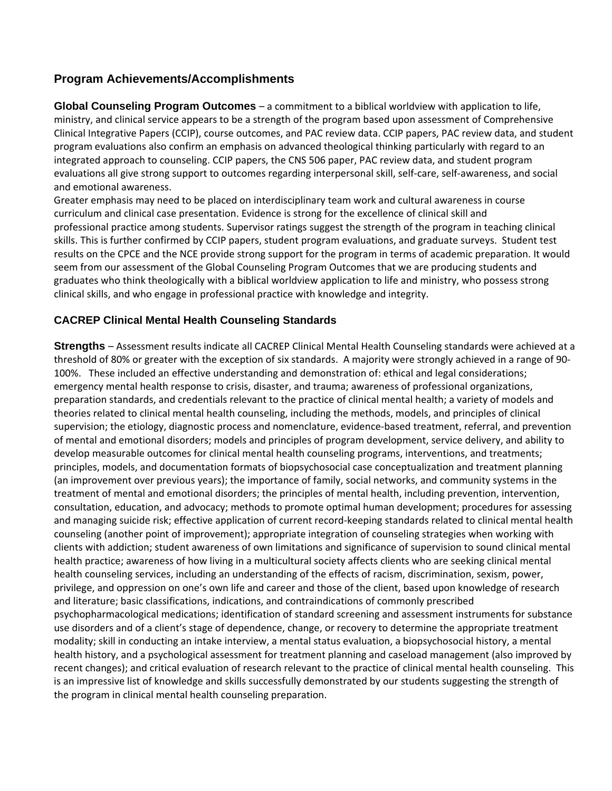## **Program Achievements/Accomplishments**

**Global Counseling Program Outcomes** – a commitment to a biblical worldview with application to life, ministry, and clinical service appears to be a strength of the program based upon assessment of Comprehensive Clinical Integrative Papers (CCIP), course outcomes, and PAC review data. CCIP papers, PAC review data, and student program evaluations also confirm an emphasis on advanced theological thinking particularly with regard to an integrated approach to counseling. CCIP papers, the CNS 506 paper, PAC review data, and student program evaluations all give strong support to outcomes regarding interpersonal skill, self‐care, self‐awareness, and social and emotional awareness.

Greater emphasis may need to be placed on interdisciplinary team work and cultural awareness in course curriculum and clinical case presentation. Evidence is strong for the excellence of clinical skill and professional practice among students. Supervisor ratings suggest the strength of the program in teaching clinical skills. This is further confirmed by CCIP papers, student program evaluations, and graduate surveys. Student test results on the CPCE and the NCE provide strong support for the program in terms of academic preparation. It would seem from our assessment of the Global Counseling Program Outcomes that we are producing students and graduates who think theologically with a biblical worldview application to life and ministry, who possess strong clinical skills, and who engage in professional practice with knowledge and integrity.

#### **CACREP Clinical Mental Health Counseling Standards**

**Strengths** – Assessment results indicate all CACREP Clinical Mental Health Counseling standards were achieved at a threshold of 80% or greater with the exception of six standards. A majority were strongly achieved in a range of 90‐ 100%. These included an effective understanding and demonstration of: ethical and legal considerations; emergency mental health response to crisis, disaster, and trauma; awareness of professional organizations, preparation standards, and credentials relevant to the practice of clinical mental health; a variety of models and theories related to clinical mental health counseling, including the methods, models, and principles of clinical supervision; the etiology, diagnostic process and nomenclature, evidence‐based treatment, referral, and prevention of mental and emotional disorders; models and principles of program development, service delivery, and ability to develop measurable outcomes for clinical mental health counseling programs, interventions, and treatments; principles, models, and documentation formats of biopsychosocial case conceptualization and treatment planning (an improvement over previous years); the importance of family, social networks, and community systems in the treatment of mental and emotional disorders; the principles of mental health, including prevention, intervention, consultation, education, and advocacy; methods to promote optimal human development; procedures for assessing and managing suicide risk; effective application of current record-keeping standards related to clinical mental health counseling (another point of improvement); appropriate integration of counseling strategies when working with clients with addiction; student awareness of own limitations and significance of supervision to sound clinical mental health practice; awareness of how living in a multicultural society affects clients who are seeking clinical mental health counseling services, including an understanding of the effects of racism, discrimination, sexism, power, privilege, and oppression on one's own life and career and those of the client, based upon knowledge of research and literature; basic classifications, indications, and contraindications of commonly prescribed psychopharmacological medications; identification of standard screening and assessment instruments for substance use disorders and of a client's stage of dependence, change, or recovery to determine the appropriate treatment modality; skill in conducting an intake interview, a mental status evaluation, a biopsychosocial history, a mental health history, and a psychological assessment for treatment planning and caseload management (also improved by recent changes); and critical evaluation of research relevant to the practice of clinical mental health counseling. This is an impressive list of knowledge and skills successfully demonstrated by our students suggesting the strength of the program in clinical mental health counseling preparation.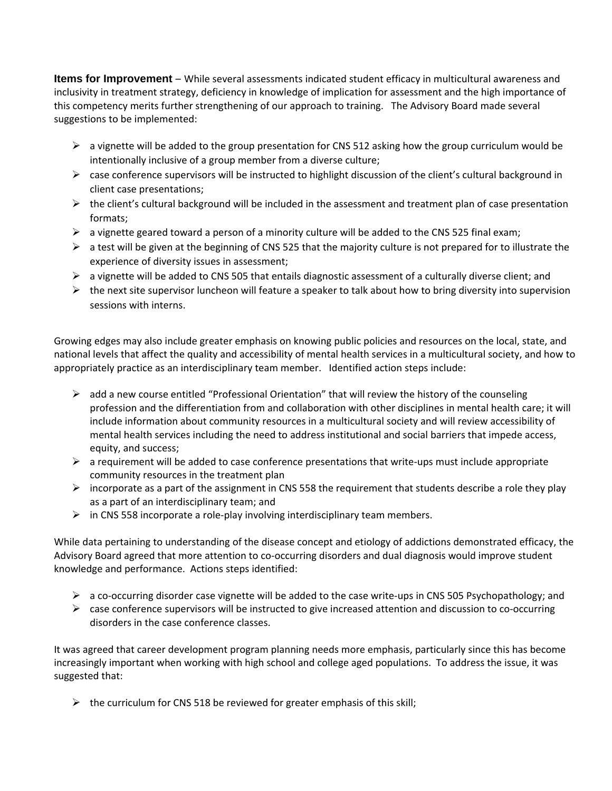**Items for Improvement** – While several assessments indicated student efficacy in multicultural awareness and inclusivity in treatment strategy, deficiency in knowledge of implication for assessment and the high importance of this competency merits further strengthening of our approach to training. The Advisory Board made several suggestions to be implemented:

- $\triangleright$  a vignette will be added to the group presentation for CNS 512 asking how the group curriculum would be intentionally inclusive of a group member from a diverse culture;
- $\triangleright$  case conference supervisors will be instructed to highlight discussion of the client's cultural background in client case presentations;
- $\triangleright$  the client's cultural background will be included in the assessment and treatment plan of case presentation formats;
- $\triangleright$  a vignette geared toward a person of a minority culture will be added to the CNS 525 final exam;
- $\triangleright$  a test will be given at the beginning of CNS 525 that the majority culture is not prepared for to illustrate the experience of diversity issues in assessment;
- $\triangleright$  a vignette will be added to CNS 505 that entails diagnostic assessment of a culturally diverse client; and
- $\triangleright$  the next site supervisor luncheon will feature a speaker to talk about how to bring diversity into supervision sessions with interns.

Growing edges may also include greater emphasis on knowing public policies and resources on the local, state, and national levels that affect the quality and accessibility of mental health services in a multicultural society, and how to appropriately practice as an interdisciplinary team member. Identified action steps include:

- $\triangleright$  add a new course entitled "Professional Orientation" that will review the history of the counseling profession and the differentiation from and collaboration with other disciplines in mental health care; it will include information about community resources in a multicultural society and will review accessibility of mental health services including the need to address institutional and social barriers that impede access, equity, and success;
- $\triangleright$  a requirement will be added to case conference presentations that write-ups must include appropriate community resources in the treatment plan
- $\triangleright$  incorporate as a part of the assignment in CNS 558 the requirement that students describe a role they play as a part of an interdisciplinary team; and
- in CNS 558 incorporate a role‐play involving interdisciplinary team members.

While data pertaining to understanding of the disease concept and etiology of addictions demonstrated efficacy, the Advisory Board agreed that more attention to co-occurring disorders and dual diagnosis would improve student knowledge and performance. Actions steps identified:

- $\triangleright$  a co-occurring disorder case vignette will be added to the case write-ups in CNS 505 Psychopathology; and
- $\triangleright$  case conference supervisors will be instructed to give increased attention and discussion to co-occurring disorders in the case conference classes.

It was agreed that career development program planning needs more emphasis, particularly since this has become increasingly important when working with high school and college aged populations. To address the issue, it was suggested that:

 $\triangleright$  the curriculum for CNS 518 be reviewed for greater emphasis of this skill;